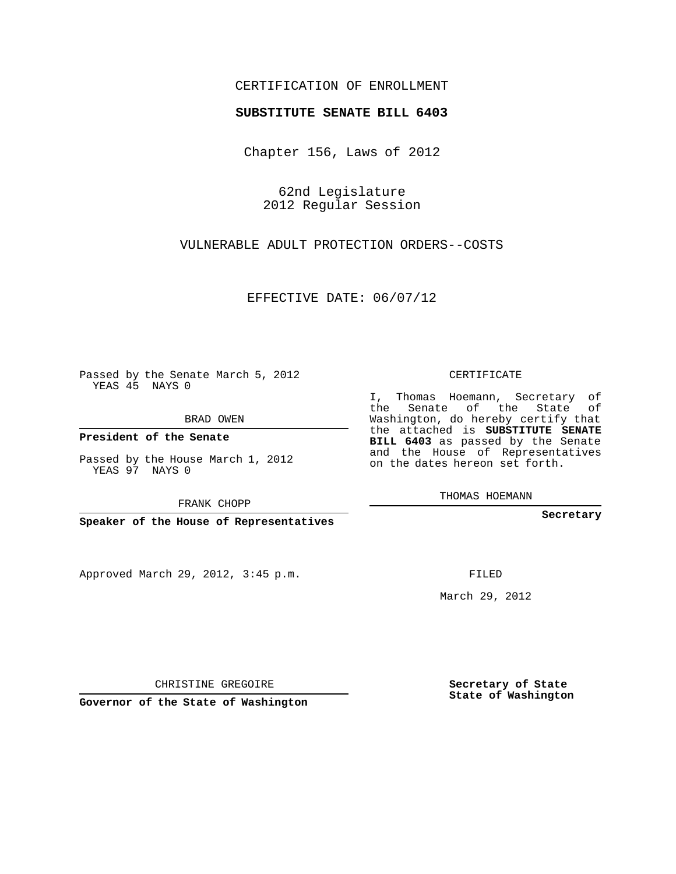## CERTIFICATION OF ENROLLMENT

## **SUBSTITUTE SENATE BILL 6403**

Chapter 156, Laws of 2012

62nd Legislature 2012 Regular Session

VULNERABLE ADULT PROTECTION ORDERS--COSTS

EFFECTIVE DATE: 06/07/12

Passed by the Senate March 5, 2012 YEAS 45 NAYS 0

BRAD OWEN

**President of the Senate**

Passed by the House March 1, 2012 YEAS 97 NAYS 0

FRANK CHOPP

**Speaker of the House of Representatives**

Approved March 29, 2012, 3:45 p.m.

CERTIFICATE

I, Thomas Hoemann, Secretary of the Senate of the State of Washington, do hereby certify that the attached is **SUBSTITUTE SENATE BILL 6403** as passed by the Senate and the House of Representatives on the dates hereon set forth.

THOMAS HOEMANN

**Secretary**

FILED

March 29, 2012

**Secretary of State State of Washington**

CHRISTINE GREGOIRE

**Governor of the State of Washington**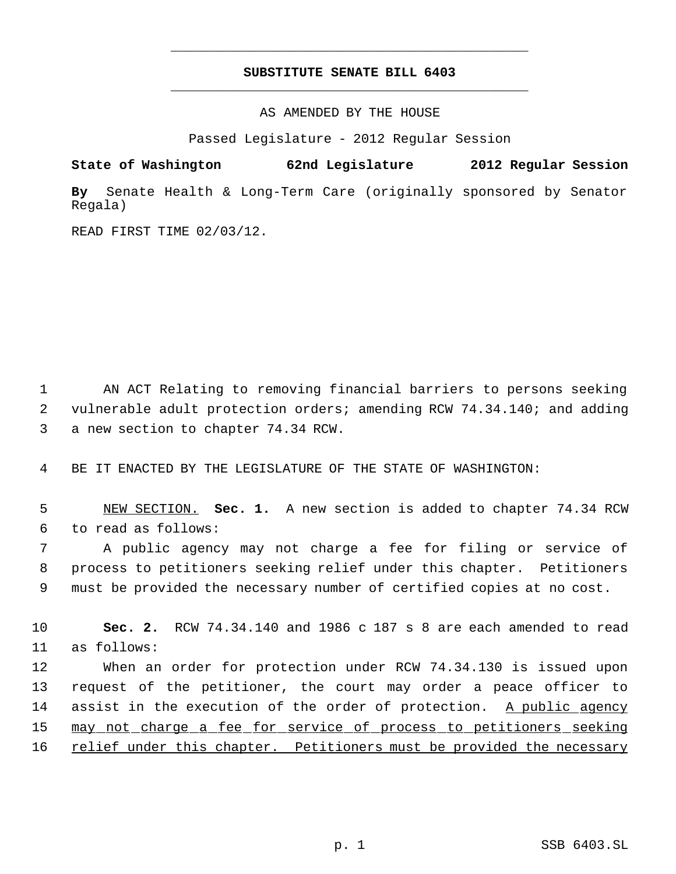## **SUBSTITUTE SENATE BILL 6403** \_\_\_\_\_\_\_\_\_\_\_\_\_\_\_\_\_\_\_\_\_\_\_\_\_\_\_\_\_\_\_\_\_\_\_\_\_\_\_\_\_\_\_\_\_

\_\_\_\_\_\_\_\_\_\_\_\_\_\_\_\_\_\_\_\_\_\_\_\_\_\_\_\_\_\_\_\_\_\_\_\_\_\_\_\_\_\_\_\_\_

AS AMENDED BY THE HOUSE

Passed Legislature - 2012 Regular Session

**State of Washington 62nd Legislature 2012 Regular Session**

**By** Senate Health & Long-Term Care (originally sponsored by Senator Regala)

READ FIRST TIME 02/03/12.

 1 AN ACT Relating to removing financial barriers to persons seeking 2 vulnerable adult protection orders; amending RCW 74.34.140; and adding 3 a new section to chapter 74.34 RCW.

4 BE IT ENACTED BY THE LEGISLATURE OF THE STATE OF WASHINGTON:

 5 NEW SECTION. **Sec. 1.** A new section is added to chapter 74.34 RCW 6 to read as follows:

 7 A public agency may not charge a fee for filing or service of 8 process to petitioners seeking relief under this chapter. Petitioners 9 must be provided the necessary number of certified copies at no cost.

10 **Sec. 2.** RCW 74.34.140 and 1986 c 187 s 8 are each amended to read 11 as follows:

12 When an order for protection under RCW 74.34.130 is issued upon 13 request of the petitioner, the court may order a peace officer to 14 assist in the execution of the order of protection. A public agency 15 may not charge a fee for service of process to petitioners seeking 16 relief under this chapter. Petitioners must be provided the necessary